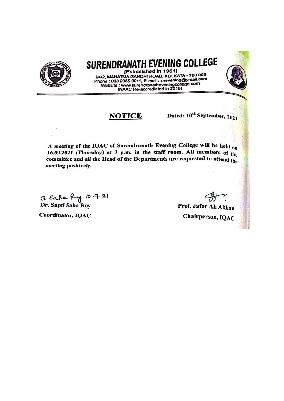

## SURENDRANATH EVENING COLLEGE

[Established in 1961] 24/2, MAHATMA GANDHI ROAD, KOLKATA - 700 009 Phone : 033 2985-9011, E-mail : snevening@ymail.com Website : www.surendranatheveningcollege.com<br>(NAAC Re-accrediated in 2016)

## **NOTICE**

Dated: 10<sup>th</sup> September, 2021

A meeting of the IQAC of Surendranath Evening College will be held on 16.09.2021 (Thursday) at 3 p.m. in the staff room. All members of the committee and all the Head of the Departments are requested to attend the meeting positively.

S. Saha Ruy 10.9.21<br>Dr. Supti Saha Roy Coordinator, IQAC

Prof. Jafor Ali Akhan Chairperson, IQAC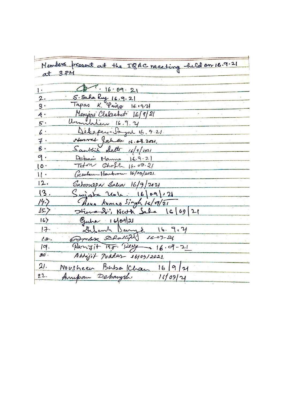Members present at the IQAC naceting held on 16.9.21 at 3 PM  $47.16.09.21$  $\mathbf{I}$ . S. Saha Ruy 16.9.21<br>Tapas K. Paire 16  $2.$  $\mathbf{S}$ .  $16.19.2$ Manyaré Clakeabati 16[9] 21  $\overline{a}$  $A$ . Urmilation 16.9.2  $5.$ Débeperindayer 16.9.21.  $6:$ Nusvat Jahan 16.09.2001  $7.$ Sanklich Satte 16/9/2021  $\beta$ . Debanis Manna  $9.$  $16.9.2$ Teton Chofh 16.09.21  $10.$ Grantam Hambron 16/09/2021.  $11 -$ Saturnepa Salia 16/9/2021  $12.$  $\{3.$  $S$ wiata  $266 \cdot 1669$ Ava Kuman Singh 16/09/21  $14.$  $16[69]21$ Himson Neth Sela  $15.7$  $q_{\mu\lambda\lambda}$   $16|09|21$  $|6\rangle$ Delomb BaryE  $17 16.9.7$ Goodre Rhalling 16-09-21  $l$ g. Panjit 145. Perry 16.09-21  $19.$ Abbijit Podder 16109/2021.  $20$ . Nousheau Baba Khan 16/9/21  $21.$ Annipan Debangsh  $22.$  $11/09/21$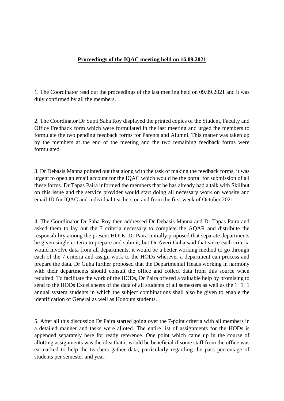## **Proceedings of the IQAC meeting held on 16.09.2021**

1. The Coordinator read out the proceedings of the last meeting held on 09.09.2021 and it was duly confirmed by all the members.

2. The Coordinator Dr Supti Saha Roy displayed the printed copies of the Student, Faculty and Office Fredback form which were formulated in the last meeting and urged the members to formulate the two pending feedback forms for Parents and Alumni. This matter was taken up by the members at the end of the meeting and the two remaining feedback forms were formulated.

3. Dr Debasis Manna pointed out that along with the task of making the feedback forms, it was urgent to open an email account for the IQAC which would be the portal for submission of all these forms. Dr Tapas Paira informed the members that he has already had a talk with Skillhut on this issue and the service provider would start doing all necessary work on website and email ID for IQAC and individual teachers on and from the first week of October 2021.

4. The Coordinator Dr Saha Roy then addressed Dr Debasis Manna and Dr Tapas Paira and asked them to lay out the 7 criteria necessary to complete the AQAR and distribute the responsibility among the present HODs. Dr Paira initially proposed that separate departments be given single criteria to prepare and submit, but Dr Averi Guha said that since each criteria would involve data from all departments, it would be a better working method to go through each of the 7 criteria and assign work to the HODs wherever a department can process and prepare the data. Dr Guha further proposed that the Departmental Heads working in harmony with their departments should consult the office and collect data from this source when required. To facilitate the work of the HODs, Dr Paira offered a valuable help by promising to send to the HODs Excel sheets of the data of all students of all semesters as well as the 1+1+1 annual system students in which the subject combinations shall also be given to enable the identification of General as well as Honours students.

5. After all this discussion Dr Paira started going over the 7-point criteria with all members in a detailed manner and tasks were alloted. The entire list of assignments for the HODs is appended separately here for ready reference. One point which came up in the course of allotting assignments was the idea that it would be beneficial if some staff from the office was earmarked to help the teachers gather data, particularly regarding the pass percentage of students per semester and year.